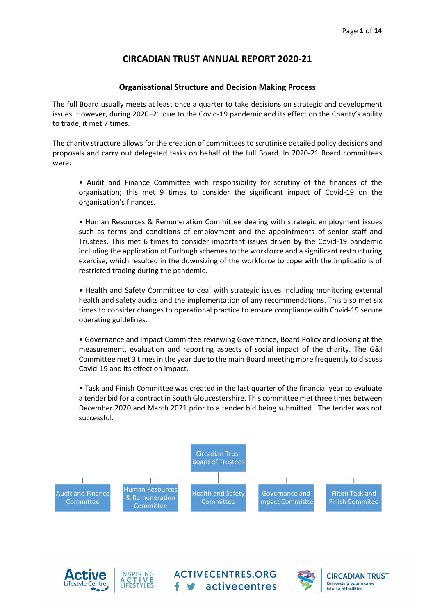# **CIRCADIAN TRUST ANNUAL REPORT 2020‐21**

## **Organisational Structure and Decision Making Process**

The full Board usually meets at least once a quarter to take decisions on strategic and development issues. However, during 2020–21 due to the Covid‐19 pandemic and its effect on the Charity's ability to trade, it met 7 times.

The charity structure allows for the creation of committees to scrutinise detailed policy decisions and proposals and carry out delegated tasks on behalf of the full Board. In 2020‐21 Board committees were:

• Audit and Finance Committee with responsibility for scrutiny of the finances of the organisation; this met 9 times to consider the significant impact of Covid‐19 on the organisation's finances.

• Human Resources & Remuneration Committee dealing with strategic employment issues such as terms and conditions of employment and the appointments of senior staff and Trustees. This met 6 times to consider important issues driven by the Covid‐19 pandemic including the application of Furlough schemes to the workforce and a significant restructuring exercise, which resulted in the downsizing of the workforce to cope with the implications of restricted trading during the pandemic.

• Health and Safety Committee to deal with strategic issues including monitoring external health and safety audits and the implementation of any recommendations. This also met six times to consider changes to operational practice to ensure compliance with Covid‐19 secure operating guidelines.

• Governance and Impact Committee reviewing Governance, Board Policy and looking at the measurement, evaluation and reporting aspects of social impact of the charity. The G&I Committee met 3 times in the year due to the main Board meeting more frequently to discuss Covid‐19 and its effect on impact.

• Task and Finish Committee was created in the last quarter of the financial year to evaluate a tender bid for a contract in South Gloucestershire. This committee met three times between December 2020 and March 2021 prior to a tender bid being submitted. The tender was not successful.

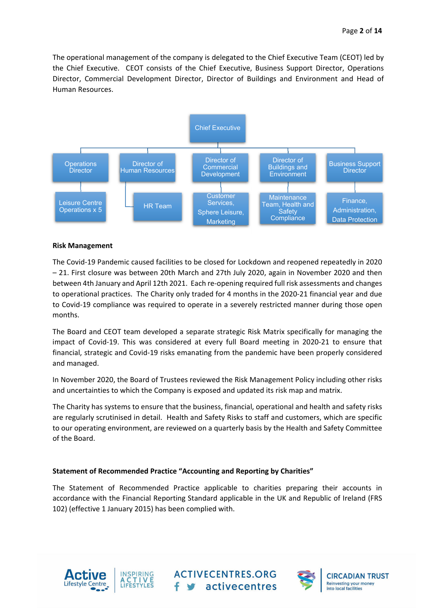The operational management of the company is delegated to the Chief Executive Team (CEOT) led by the Chief Executive. CEOT consists of the Chief Executive, Business Support Director, Operations Director, Commercial Development Director, Director of Buildings and Environment and Head of Human Resources.



#### **Risk Management**

The Covid‐19 Pandemic caused facilities to be closed for Lockdown and reopened repeatedly in 2020 – 21. First closure was between 20th March and 27th July 2020, again in November 2020 and then between 4th January and April 12th 2021. Each re‐opening required full risk assessments and changes to operational practices. The Charity only traded for 4 months in the 2020‐21 financial year and due to Covid‐19 compliance was required to operate in a severely restricted manner during those open months.

The Board and CEOT team developed a separate strategic Risk Matrix specifically for managing the impact of Covid‐19. This was considered at every full Board meeting in 2020‐21 to ensure that financial, strategic and Covid‐19 risks emanating from the pandemic have been properly considered and managed.

In November 2020, the Board of Trustees reviewed the Risk Management Policy including other risks and uncertainties to which the Company is exposed and updated its risk map and matrix.

The Charity has systems to ensure that the business, financial, operational and health and safety risks are regularly scrutinised in detail. Health and Safety Risks to staff and customers, which are specific to our operating environment, are reviewed on a quarterly basis by the Health and Safety Committee of the Board.

### **Statement of Recommended Practice "Accounting and Reporting by Charities"**

The Statement of Recommended Practice applicable to charities preparing their accounts in accordance with the Financial Reporting Standard applicable in the UK and Republic of Ireland (FRS 102) (effective 1 January 2015) has been complied with.





**ACTIVECENTRES.ORG** stivecentres



**CIRCADIAN TRUST Reinvesting your money** into local facilities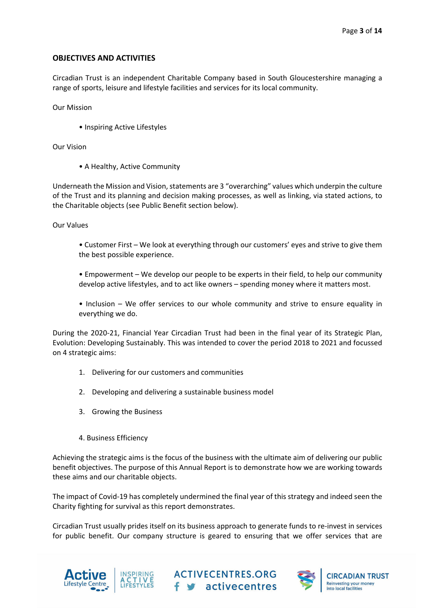# **OBJECTIVES AND ACTIVITIES**

Circadian Trust is an independent Charitable Company based in South Gloucestershire managing a range of sports, leisure and lifestyle facilities and services for its local community.

Our Mission

• Inspiring Active Lifestyles

Our Vision

• A Healthy, Active Community

Underneath the Mission and Vision, statements are 3 "overarching" values which underpin the culture of the Trust and its planning and decision making processes, as well as linking, via stated actions, to the Charitable objects (see Public Benefit section below).

Our Values

- Customer First We look at everything through our customers' eyes and strive to give them the best possible experience.
- Empowerment We develop our people to be experts in their field, to help our community develop active lifestyles, and to act like owners – spending money where it matters most.
- Inclusion We offer services to our whole community and strive to ensure equality in everything we do.

During the 2020‐21, Financial Year Circadian Trust had been in the final year of its Strategic Plan, Evolution: Developing Sustainably. This was intended to cover the period 2018 to 2021 and focussed on 4 strategic aims:

- 1. Delivering for our customers and communities
- 2. Developing and delivering a sustainable business model
- 3. Growing the Business
- 4. Business Efficiency

Achieving the strategic aims is the focus of the business with the ultimate aim of delivering our public benefit objectives. The purpose of this Annual Report is to demonstrate how we are working towards these aims and our charitable objects.

The impact of Covid‐19 has completely undermined the final year of this strategy and indeed seen the Charity fighting for survival as this report demonstrates.

Circadian Trust usually prides itself on its business approach to generate funds to re‐invest in services for public benefit. Our company structure is geared to ensuring that we offer services that are







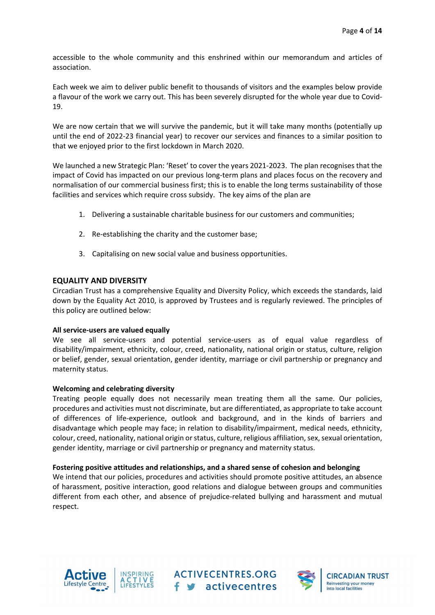accessible to the whole community and this enshrined within our memorandum and articles of association.

Each week we aim to deliver public benefit to thousands of visitors and the examples below provide a flavour of the work we carry out. This has been severely disrupted for the whole year due to Covid‐ 19.

We are now certain that we will survive the pandemic, but it will take many months (potentially up until the end of 2022‐23 financial year) to recover our services and finances to a similar position to that we enjoyed prior to the first lockdown in March 2020.

We launched a new Strategic Plan: 'Reset' to cover the years 2021-2023. The plan recognises that the impact of Covid has impacted on our previous long‐term plans and places focus on the recovery and normalisation of our commercial business first; this is to enable the long terms sustainability of those facilities and services which require cross subsidy. The key aims of the plan are

- 1. Delivering a sustainable charitable business for our customers and communities;
- 2. Re-establishing the charity and the customer base;
- 3. Capitalising on new social value and business opportunities.

# **EQUALITY AND DIVERSITY**

Circadian Trust has a comprehensive Equality and Diversity Policy, which exceeds the standards, laid down by the Equality Act 2010, is approved by Trustees and is regularly reviewed. The principles of this policy are outlined below:

### **All service‐users are valued equally**

We see all service-users and potential service-users as of equal value regardless of disability/impairment, ethnicity, colour, creed, nationality, national origin or status, culture, religion or belief, gender, sexual orientation, gender identity, marriage or civil partnership or pregnancy and maternity status.

### **Welcoming and celebrating diversity**

Treating people equally does not necessarily mean treating them all the same. Our policies, procedures and activities must not discriminate, but are differentiated, as appropriate to take account of differences of life‐experience, outlook and background, and in the kinds of barriers and disadvantage which people may face; in relation to disability/impairment, medical needs, ethnicity, colour, creed, nationality, national origin or status, culture, religious affiliation, sex, sexual orientation, gender identity, marriage or civil partnership or pregnancy and maternity status.

### **Fostering positive attitudes and relationships, and a shared sense of cohesion and belonging**

We intend that our policies, procedures and activities should promote positive attitudes, an absence of harassment, positive interaction, good relations and dialogue between groups and communities different from each other, and absence of prejudice‐related bullying and harassment and mutual respect.





**ACTIVECENTRES.ORG** f s activecentres

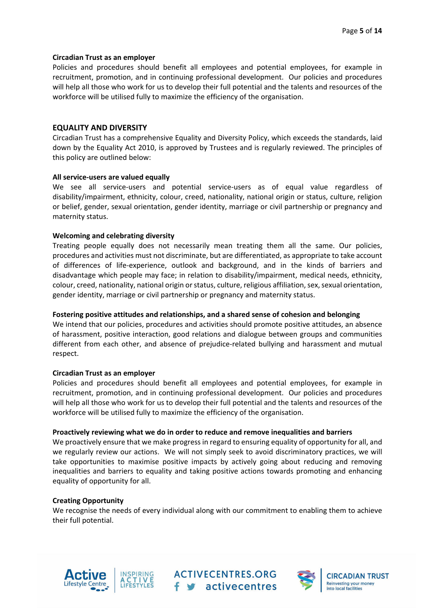#### **Circadian Trust as an employer**

Policies and procedures should benefit all employees and potential employees, for example in recruitment, promotion, and in continuing professional development. Our policies and procedures will help all those who work for us to develop their full potential and the talents and resources of the workforce will be utilised fully to maximize the efficiency of the organisation.

## **EQUALITY AND DIVERSITY**

Circadian Trust has a comprehensive Equality and Diversity Policy, which exceeds the standards, laid down by the Equality Act 2010, is approved by Trustees and is regularly reviewed. The principles of this policy are outlined below:

#### **All service‐users are valued equally**

We see all service-users and potential service-users as of equal value regardless of disability/impairment, ethnicity, colour, creed, nationality, national origin or status, culture, religion or belief, gender, sexual orientation, gender identity, marriage or civil partnership or pregnancy and maternity status.

### **Welcoming and celebrating diversity**

Treating people equally does not necessarily mean treating them all the same. Our policies, procedures and activities must not discriminate, but are differentiated, as appropriate to take account of differences of life‐experience, outlook and background, and in the kinds of barriers and disadvantage which people may face; in relation to disability/impairment, medical needs, ethnicity, colour, creed, nationality, national origin or status, culture, religious affiliation, sex, sexual orientation, gender identity, marriage or civil partnership or pregnancy and maternity status.

### **Fostering positive attitudes and relationships, and a shared sense of cohesion and belonging**

We intend that our policies, procedures and activities should promote positive attitudes, an absence of harassment, positive interaction, good relations and dialogue between groups and communities different from each other, and absence of prejudice‐related bullying and harassment and mutual respect.

#### **Circadian Trust as an employer**

Policies and procedures should benefit all employees and potential employees, for example in recruitment, promotion, and in continuing professional development. Our policies and procedures will help all those who work for us to develop their full potential and the talents and resources of the workforce will be utilised fully to maximize the efficiency of the organisation.

#### **Proactively reviewing what we do in order to reduce and remove inequalities and barriers**

We proactively ensure that we make progress in regard to ensuring equality of opportunity for all, and we regularly review our actions. We will not simply seek to avoid discriminatory practices, we will take opportunities to maximise positive impacts by actively going about reducing and removing inequalities and barriers to equality and taking positive actions towards promoting and enhancing equality of opportunity for all.

### **Creating Opportunity**

We recognise the needs of every individual along with our commitment to enabling them to achieve their full potential.





**ACTIVECENTRES.ORG** f s activecentres

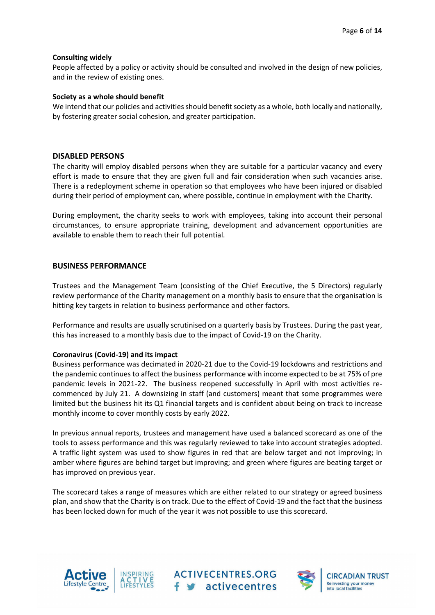### **Consulting widely**

People affected by a policy or activity should be consulted and involved in the design of new policies, and in the review of existing ones.

#### **Society as a whole should benefit**

We intend that our policies and activities should benefit society as a whole, both locally and nationally, by fostering greater social cohesion, and greater participation.

### **DISABLED PERSONS**

The charity will employ disabled persons when they are suitable for a particular vacancy and every effort is made to ensure that they are given full and fair consideration when such vacancies arise. There is a redeployment scheme in operation so that employees who have been injured or disabled during their period of employment can, where possible, continue in employment with the Charity.

During employment, the charity seeks to work with employees, taking into account their personal circumstances, to ensure appropriate training, development and advancement opportunities are available to enable them to reach their full potential.

# **BUSINESS PERFORMANCE**

Trustees and the Management Team (consisting of the Chief Executive, the 5 Directors) regularly review performance of the Charity management on a monthly basis to ensure that the organisation is hitting key targets in relation to business performance and other factors.

Performance and results are usually scrutinised on a quarterly basis by Trustees. During the past year, this has increased to a monthly basis due to the impact of Covid‐19 on the Charity.

### **Coronavirus (Covid‐19) and its impact**

Business performance was decimated in 2020‐21 due to the Covid‐19 lockdowns and restrictions and the pandemic continues to affect the business performance with income expected to be at 75% of pre pandemic levels in 2021-22. The business reopened successfully in April with most activities recommenced by July 21. A downsizing in staff (and customers) meant that some programmes were limited but the business hit its Q1 financial targets and is confident about being on track to increase monthly income to cover monthly costs by early 2022.

In previous annual reports, trustees and management have used a balanced scorecard as one of the tools to assess performance and this was regularly reviewed to take into account strategies adopted. A traffic light system was used to show figures in red that are below target and not improving; in amber where figures are behind target but improving; and green where figures are beating target or has improved on previous year.

The scorecard takes a range of measures which are either related to our strategy or agreed business plan, and show that the Charity is on track. Due to the effect of Covid‐19 and the fact that the business has been locked down for much of the year it was not possible to use this scorecard.





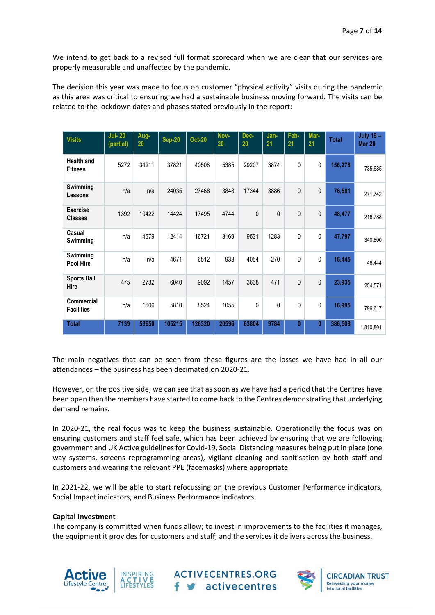We intend to get back to a revised full format scorecard when we are clear that our services are properly measurable and unaffected by the pandemic.

The decision this year was made to focus on customer "physical activity" visits during the pandemic as this area was critical to ensuring we had a sustainable business moving forward. The visits can be related to the lockdown dates and phases stated previously in the report:

| <b>Visits</b>                          | <b>Jul-20</b><br>(partial) | Aug-<br>20 | <b>Sep-20</b> | <b>Oct-20</b> | Nov-<br>20 | Dec-<br>20 | Jan-<br>21 | Feb-<br>21   | Mar-<br>21   | <b>Total</b> | July $19 -$<br><b>Mar 20</b> |
|----------------------------------------|----------------------------|------------|---------------|---------------|------------|------------|------------|--------------|--------------|--------------|------------------------------|
| <b>Health and</b><br><b>Fitness</b>    | 5272                       | 34211      | 37821         | 40508         | 5385       | 29207      | 3874       | 0            | 0            | 156,278      | 735,685                      |
| Swimming<br><b>Lessons</b>             | n/a                        | n/a        | 24035         | 27468         | 3848       | 17344      | 3886       | 0            | 0            | 76,581       | 271,742                      |
| <b>Exercise</b><br><b>Classes</b>      | 1392                       | 10422      | 14424         | 17495         | 4744       | 0          | 0          | $\mathbf{0}$ | 0            | 48,477       | 216,788                      |
| Casual<br>Swimming                     | n/a                        | 4679       | 12414         | 16721         | 3169       | 9531       | 1283       | 0            | 0            | 47,797       | 340,800                      |
| <b>Swimming</b><br><b>Pool Hire</b>    | n/a                        | n/a        | 4671          | 6512          | 938        | 4054       | 270        | 0            | 0            | 16,445       | 46,444                       |
| <b>Sports Hall</b><br>Hire             | 475                        | 2732       | 6040          | 9092          | 1457       | 3668       | 471        | 0            | 0            | 23,935       | 254,571                      |
| <b>Commercial</b><br><b>Facilities</b> | n/a                        | 1606       | 5810          | 8524          | 1055       | $\Omega$   | 0          | 0            | 0            | 16,995       | 796,617                      |
| <b>Total</b>                           | 7139                       | 53650      | 105215        | 126320        | 20596      | 63804      | 9784       | $\bf{0}$     | $\mathbf{0}$ | 386,508      | 1,810,801                    |

The main negatives that can be seen from these figures are the losses we have had in all our attendances – the business has been decimated on 2020‐21.

However, on the positive side, we can see that as soon as we have had a period that the Centres have been open then the members have started to come back to the Centres demonstrating that underlying demand remains.

In 2020-21, the real focus was to keep the business sustainable. Operationally the focus was on ensuring customers and staff feel safe, which has been achieved by ensuring that we are following government and UK Active guidelines for Covid‐19, Social Distancing measures being put in place (one way systems, screens reprogramming areas), vigilant cleaning and sanitisation by both staff and customers and wearing the relevant PPE (facemasks) where appropriate.

In 2021-22, we will be able to start refocussing on the previous Customer Performance indicators, Social Impact indicators, and Business Performance indicators

### **Capital Investment**

The company is committed when funds allow; to invest in improvements to the facilities it manages, the equipment it provides for customers and staff; and the services it delivers across the business.





**ACTIVECENTRES.ORG** f v activecentres

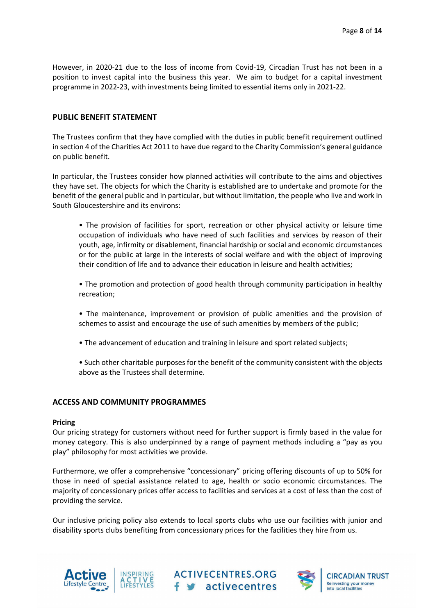However, in 2020‐21 due to the loss of income from Covid‐19, Circadian Trust has not been in a position to invest capital into the business this year. We aim to budget for a capital investment programme in 2022‐23, with investments being limited to essential items only in 2021‐22.

### **PUBLIC BENEFIT STATEMENT**

The Trustees confirm that they have complied with the duties in public benefit requirement outlined in section 4 of the Charities Act 2011 to have due regard to the Charity Commission's general guidance on public benefit.

In particular, the Trustees consider how planned activities will contribute to the aims and objectives they have set. The objects for which the Charity is established are to undertake and promote for the benefit of the general public and in particular, but without limitation, the people who live and work in South Gloucestershire and its environs:

• The provision of facilities for sport, recreation or other physical activity or leisure time occupation of individuals who have need of such facilities and services by reason of their youth, age, infirmity or disablement, financial hardship or social and economic circumstances or for the public at large in the interests of social welfare and with the object of improving their condition of life and to advance their education in leisure and health activities;

• The promotion and protection of good health through community participation in healthy recreation;

- The maintenance, improvement or provision of public amenities and the provision of schemes to assist and encourage the use of such amenities by members of the public;
- The advancement of education and training in leisure and sport related subjects;
- Such other charitable purposes for the benefit of the community consistent with the objects above as the Trustees shall determine.

#### **ACCESS AND COMMUNITY PROGRAMMES**

#### **Pricing**

Our pricing strategy for customers without need for further support is firmly based in the value for money category. This is also underpinned by a range of payment methods including a "pay as you play" philosophy for most activities we provide.

Furthermore, we offer a comprehensive "concessionary" pricing offering discounts of up to 50% for those in need of special assistance related to age, health or socio economic circumstances. The majority of concessionary prices offer access to facilities and services at a cost of less than the cost of providing the service.

Our inclusive pricing policy also extends to local sports clubs who use our facilities with junior and disability sports clubs benefiting from concessionary prices for the facilities they hire from us.





**ACTIVECENTRES.ORG** f v activecentres

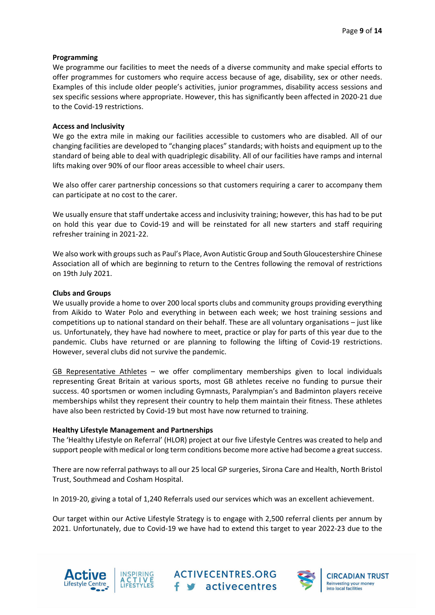## **Programming**

We programme our facilities to meet the needs of a diverse community and make special efforts to offer programmes for customers who require access because of age, disability, sex or other needs. Examples of this include older people's activities, junior programmes, disability access sessions and sex specific sessions where appropriate. However, this has significantly been affected in 2020‐21 due to the Covid‐19 restrictions.

### **Access and Inclusivity**

We go the extra mile in making our facilities accessible to customers who are disabled. All of our changing facilities are developed to "changing places" standards; with hoists and equipment up to the standard of being able to deal with quadriplegic disability. All of our facilities have ramps and internal lifts making over 90% of our floor areas accessible to wheel chair users.

We also offer carer partnership concessions so that customers requiring a carer to accompany them can participate at no cost to the carer.

We usually ensure that staff undertake access and inclusivity training; however, this has had to be put on hold this year due to Covid‐19 and will be reinstated for all new starters and staff requiring refresher training in 2021‐22.

We also work with groups such as Paul's Place, Avon Autistic Group and South Gloucestershire Chinese Association all of which are beginning to return to the Centres following the removal of restrictions on 19th July 2021.

#### **Clubs and Groups**

We usually provide a home to over 200 local sports clubs and community groups providing everything from Aikido to Water Polo and everything in between each week; we host training sessions and competitions up to national standard on their behalf. These are all voluntary organisations – just like us. Unfortunately, they have had nowhere to meet, practice or play for parts of this year due to the pandemic. Clubs have returned or are planning to following the lifting of Covid‐19 restrictions. However, several clubs did not survive the pandemic.

GB Representative Athletes – we offer complimentary memberships given to local individuals representing Great Britain at various sports, most GB athletes receive no funding to pursue their success. 40 sportsmen or women including Gymnasts, Paralympian's and Badminton players receive memberships whilst they represent their country to help them maintain their fitness. These athletes have also been restricted by Covid-19 but most have now returned to training.

#### **Healthy Lifestyle Management and Partnerships**

The 'Healthy Lifestyle on Referral' (HLOR) project at our five Lifestyle Centres was created to help and support people with medical or long term conditions become more active had become a great success.

There are now referral pathways to all our 25 local GP surgeries, Sirona Care and Health, North Bristol Trust, Southmead and Cosham Hospital.

In 2019-20, giving a total of 1,240 Referrals used our services which was an excellent achievement.

Our target within our Active Lifestyle Strategy is to engage with 2,500 referral clients per annum by 2021. Unfortunately, due to Covid‐19 we have had to extend this target to year 2022‐23 due to the





**ACTIVECENTRES.ORG** f s activecentres

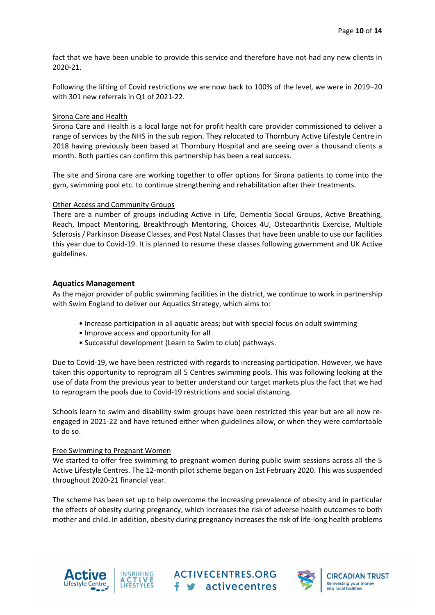fact that we have been unable to provide this service and therefore have not had any new clients in 2020‐21.

Following the lifting of Covid restrictions we are now back to 100% of the level, we were in 2019–20 with 301 new referrals in Q1 of 2021‐22.

## Sirona Care and Health

Sirona Care and Health is a local large not for profit health care provider commissioned to deliver a range of services by the NHS in the sub region. They relocated to Thornbury Active Lifestyle Centre in 2018 having previously been based at Thornbury Hospital and are seeing over a thousand clients a month. Both parties can confirm this partnership has been a real success.

The site and Sirona care are working together to offer options for Sirona patients to come into the gym, swimming pool etc. to continue strengthening and rehabilitation after their treatments.

### Other Access and Community Groups

There are a number of groups including Active in Life, Dementia Social Groups, Active Breathing, Reach, Impact Mentoring, Breakthrough Mentoring, Choices 4U, Osteoarthritis Exercise, Multiple Sclerosis/ Parkinson Disease Classes, and Post Natal Classesthat have been unable to use our facilities this year due to Covid‐19. It is planned to resume these classes following government and UK Active guidelines.

### **Aquatics Management**

As the major provider of public swimming facilities in the district, we continue to work in partnership with Swim England to deliver our Aquatics Strategy, which aims to:

- Increase participation in all aquatic areas; but with special focus on adult swimming
- Improve access and opportunity for all
- Successful development (Learn to Swim to club) pathways.

Due to Covid‐19, we have been restricted with regards to increasing participation. However, we have taken this opportunity to reprogram all 5 Centres swimming pools. This was following looking at the use of data from the previous year to better understand our target markets plus the fact that we had to reprogram the pools due to Covid‐19 restrictions and social distancing.

Schools learn to swim and disability swim groups have been restricted this year but are all now re‐ engaged in 2021‐22 and have retuned either when guidelines allow, or when they were comfortable to do so.

### Free Swimming to Pregnant Women

We started to offer free swimming to pregnant women during public swim sessions across all the 5 Active Lifestyle Centres. The 12‐month pilot scheme began on 1st February 2020. This was suspended throughout 2020‐21 financial year.

The scheme has been set up to help overcome the increasing prevalence of obesity and in particular the effects of obesity during pregnancy, which increases the risk of adverse health outcomes to both mother and child. In addition, obesity during pregnancy increases the risk of life‐long health problems





**ACTIVECENTRES.ORG** f s activecentres

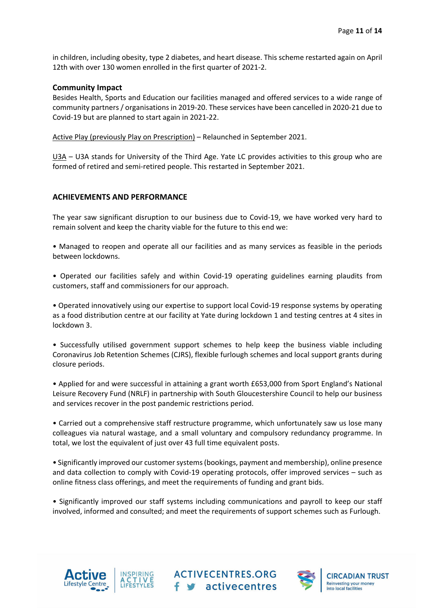in children, including obesity, type 2 diabetes, and heart disease. This scheme restarted again on April 12th with over 130 women enrolled in the first quarter of 2021‐2.

# **Community Impact**

Besides Health, Sports and Education our facilities managed and offered services to a wide range of community partners / organisations in 2019‐20. These services have been cancelled in 2020‐21 due to Covid‐19 but are planned to start again in 2021‐22.

Active Play (previously Play on Prescription) – Relaunched in September 2021.

U3A – U3A stands for University of the Third Age. Yate LC provides activities to this group who are formed of retired and semi-retired people. This restarted in September 2021.

# **ACHIEVEMENTS AND PERFORMANCE**

The year saw significant disruption to our business due to Covid‐19, we have worked very hard to remain solvent and keep the charity viable for the future to this end we:

• Managed to reopen and operate all our facilities and as many services as feasible in the periods between lockdowns.

• Operated our facilities safely and within Covid‐19 operating guidelines earning plaudits from customers, staff and commissioners for our approach.

• Operated innovatively using our expertise to support local Covid‐19 response systems by operating as a food distribution centre at our facility at Yate during lockdown 1 and testing centres at 4 sites in lockdown 3.

• Successfully utilised government support schemes to help keep the business viable including Coronavirus Job Retention Schemes (CJRS), flexible furlough schemes and local support grants during closure periods.

• Applied for and were successful in attaining a grant worth £653,000 from Sport England's National Leisure Recovery Fund (NRLF) in partnership with South Gloucestershire Council to help our business and services recover in the post pandemic restrictions period.

• Carried out a comprehensive staff restructure programme, which unfortunately saw us lose many colleagues via natural wastage, and a small voluntary and compulsory redundancy programme. In total, we lost the equivalent of just over 43 full time equivalent posts.

• Significantly improved our customersystems(bookings, payment and membership), online presence and data collection to comply with Covid-19 operating protocols, offer improved services – such as online fitness class offerings, and meet the requirements of funding and grant bids.

• Significantly improved our staff systems including communications and payroll to keep our staff involved, informed and consulted; and meet the requirements of support schemes such as Furlough.





**ACTIVECENTRES.ORG** f s activecentres

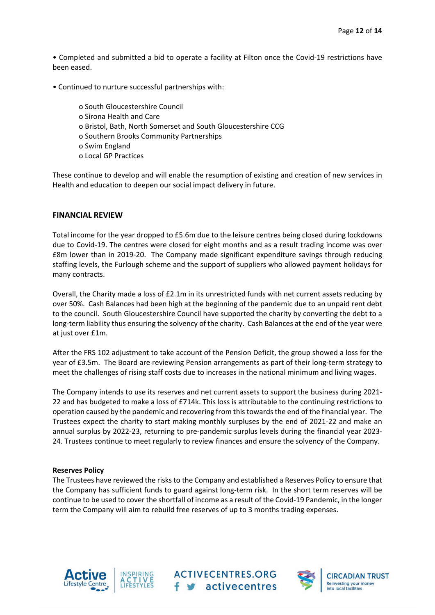• Completed and submitted a bid to operate a facility at Filton once the Covid‐19 restrictions have been eased.

- Continued to nurture successful partnerships with:
	- o South Gloucestershire Council
	- o Sirona Health and Care
	- o Bristol, Bath, North Somerset and South Gloucestershire CCG
	- o Southern Brooks Community Partnerships
	- o Swim England
	- o Local GP Practices

These continue to develop and will enable the resumption of existing and creation of new services in Health and education to deepen our social impact delivery in future.

# **FINANCIAL REVIEW**

Total income for the year dropped to £5.6m due to the leisure centres being closed during lockdowns due to Covid‐19. The centres were closed for eight months and as a result trading income was over £8m lower than in 2019‐20. The Company made significant expenditure savings through reducing staffing levels, the Furlough scheme and the support of suppliers who allowed payment holidays for many contracts.

Overall, the Charity made a loss of £2.1m in its unrestricted funds with net current assets reducing by over 50%. Cash Balances had been high at the beginning of the pandemic due to an unpaid rent debt to the council. South Gloucestershire Council have supported the charity by converting the debt to a long-term liability thus ensuring the solvency of the charity. Cash Balances at the end of the year were at just over £1m.

After the FRS 102 adjustment to take account of the Pension Deficit, the group showed a loss for the year of £3.5m. The Board are reviewing Pension arrangements as part of their long-term strategy to meet the challenges of rising staff costs due to increases in the national minimum and living wages.

The Company intends to use its reserves and net current assets to support the business during 2021‐ 22 and has budgeted to make a loss of £714k. This loss is attributable to the continuing restrictions to operation caused by the pandemic and recovering from thistowardsthe end of the financial year. The Trustees expect the charity to start making monthly surpluses by the end of 2021‐22 and make an annual surplus by 2022-23, returning to pre-pandemic surplus levels during the financial year 2023-24. Trustees continue to meet regularly to review finances and ensure the solvency of the Company.

### **Reserves Policy**

The Trustees have reviewed the risks to the Company and established a Reserves Policy to ensure that the Company has sufficient funds to guard against long-term risk. In the short term reserves will be continue to be used to cover the shortfall of income as a result of the Covid‐19 Pandemic, in the longer term the Company will aim to rebuild free reserves of up to 3 months trading expenses.





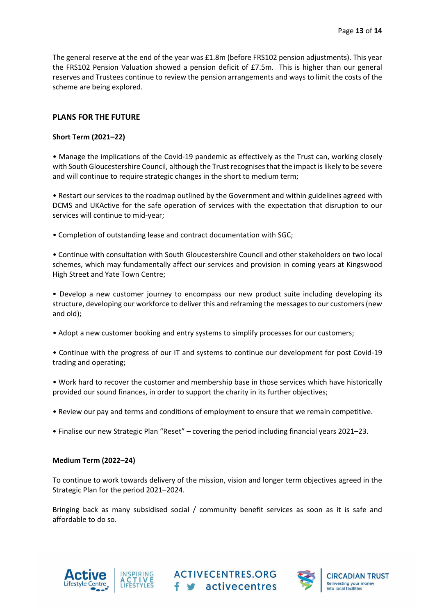The general reserve at the end of the year was £1.8m (before FRS102 pension adjustments). This year the FRS102 Pension Valuation showed a pension deficit of £7.5m. This is higher than our general reserves and Trustees continue to review the pension arrangements and ways to limit the costs of the scheme are being explored.

# **PLANS FOR THE FUTURE**

# **Short Term (2021–22)**

• Manage the implications of the Covid-19 pandemic as effectively as the Trust can, working closely with South Gloucestershire Council, although the Trust recognises that the impact is likely to be severe and will continue to require strategic changes in the short to medium term;

• Restart our services to the roadmap outlined by the Government and within guidelines agreed with DCMS and UKActive for the safe operation of services with the expectation that disruption to our services will continue to mid-year;

• Completion of outstanding lease and contract documentation with SGC;

• Continue with consultation with South Gloucestershire Council and other stakeholders on two local schemes, which may fundamentally affect our services and provision in coming years at Kingswood High Street and Yate Town Centre;

• Develop a new customer journey to encompass our new product suite including developing its structure, developing our workforce to deliver this and reframing the messagesto our customers(new and old);

• Adopt a new customer booking and entry systems to simplify processes for our customers;

• Continue with the progress of our IT and systems to continue our development for post Covid‐19 trading and operating;

• Work hard to recover the customer and membership base in those services which have historically provided our sound finances, in order to support the charity in its further objectives;

- Review our pay and terms and conditions of employment to ensure that we remain competitive.
- Finalise our new Strategic Plan "Reset" covering the period including financial years 2021–23.

# **Medium Term (2022–24)**

To continue to work towards delivery of the mission, vision and longer term objectives agreed in the Strategic Plan for the period 2021–2024.

Bringing back as many subsidised social / community benefit services as soon as it is safe and affordable to do so.

**ACTIVECENTRES.ORG** 

f s activecentres